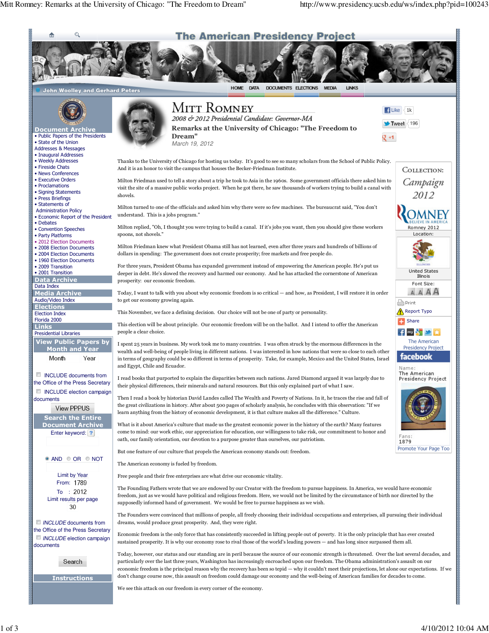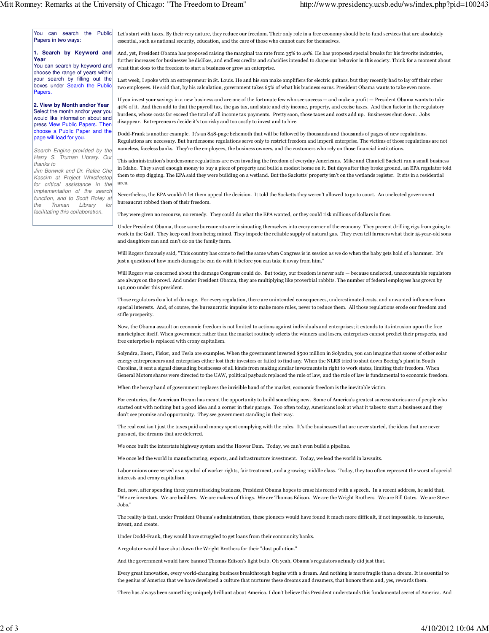You can search the Public Papers in two ways:

## **1. Search by Keyword and Year**

You can search by keyword and choose the range of years within your search by filling out the boxes under Search the Public **Papers** 

**2. View by Month and/or Year** Select the month and/or year you would like information about and press View Public Papers. Then choose a Public Paper and the page will load for you.

Search Engine provided by the Harry S. Truman Library. Our thanks to

Jim Borwick and Dr. Rafee Che Kassim at Project Whistlestop for critical assistance in the implementation of the search function, and to Scott Roley at the Truman Library for facilitating this collaboration.

Let's start with taxes. By their very nature, they reduce our freedom. Their only role in a free economy should be to fund services that are absolutely essential, such as national security, education, and the care of those who cannot care for themselves.

And, yet, President Obama has proposed raising the marginal tax rate from 35% to 40%. He has proposed special breaks for his favorite industries, further increases for businesses he dislikes, and endless credits and subsidies intended to shape our behavior in this society. Think for a moment about what that does to the freedom to start a business or grow an enterprise.

Last week, I spoke with an entrepreneur in St. Louis. He and his son make amplifiers for electric guitars, but they recently had to lay off their other two employees. He said that, by his calculation, government takes 65% of what his business earns. President Obama wants to take even more.

If you invest your savings in a new business and are one of the fortunate few who see success — and make a profit — President Obama wants to take 40% of it. And then add to that the payroll tax, the gas tax, and state and city income, property, and excise taxes. And then factor in the regulatory burdens, whose costs far exceed the total of all income tax payments. Pretty soon, those taxes and costs add up. Businesses shut down. Jobs disappear. Entrepreneurs decide it's too risky and too costly to invest and to hire.

Dodd-Frank is another example. It's an 848-page behemoth that will be followed by thousands and thousands of pages of new regulations. Regulations are necessary. But burdensome regulations serve only to restrict freedom and imperil enterprise. The victims of those regulations are not nameless, faceless banks. They're the employees, the business owners, and the customers who rely on those financial institutions.

This administration's burdensome regulations are even invading the freedom of everyday Americans. Mike and Chantell Sackett run a small business in Idaho. They saved enough money to buy a piece of property and build a modest home on it. But days after they broke ground, an EPA regulator told them to stop digging. The EPA said they were building on a wetland. But the Sacketts' property isn't on the wetlands register. It sits in a residential area.

Nevertheless, the EPA wouldn't let them appeal the decision. It told the Sacketts they weren't allowed to go to court. An unelected government bureaucrat robbed them of their freedom.

They were given no recourse, no remedy. They could do what the EPA wanted, or they could risk millions of dollars in fines.

Under President Obama, those same bureaucrats are insinuating themselves into every corner of the economy. They prevent drilling rigs from going to work in the Gulf. They keep coal from being mined. They impede the reliable supply of natural gas. They even tell farmers what their 15-year-old sons and daughters can and can't do on the family farm.

Will Rogers famously said, "This country has come to feel the same when Congress is in session as we do when the baby gets hold of a hammer. It's just a question of how much damage he can do with it before you can take it away from him."

Will Rogers was concerned about the damage Congress could do. But today, our freedom is never safe — because unelected, unaccountable regulators are always on the prowl. And under President Obama, they are multiplying like proverbial rabbits. The number of federal employees has grown by 140,000 under this president.

Those regulators do a lot of damage. For every regulation, there are unintended consequences, underestimated costs, and unwanted influence from special interests. And, of course, the bureaucratic impulse is to make more rules, never to reduce them. All those regulations erode our freedom and stifle prosperity.

Now, the Obama assault on economic freedom is not limited to actions against individuals and enterprises; it extends to its intrusion upon the free marketplace itself. When government rather than the market routinely selects the winners and losers, enterprises cannot predict their prospects, and free enterprise is replaced with crony capitalism.

Solyndra, Ener1, Fisker, and Tesla are examples. When the government invested \$500 million in Solyndra, you can imagine that scores of other solar energy entrepreneurs and enterprises either lost their investors or failed to find any. When the NLRB tried to shut down Boeing's plant in South Carolina, it sent a signal dissuading businesses of all kinds from making similar investments in right to work states, limiting their freedom. When General Motors shares were directed to the UAW, political payback replaced the rule of law, and the rule of law is fundamental to economic freedom.

When the heavy hand of government replaces the invisible hand of the market, economic freedom is the inevitable victim.

For centuries, the American Dream has meant the opportunity to build something new. Some of America's greatest success stories are of people who started out with nothing but a good idea and a corner in their garage. Too often today, Americans look at what it takes to start a business and they don't see promise and opportunity. They see government standing in their way.

The real cost isn't just the taxes paid and money spent complying with the rules. It's the businesses that are never started, the ideas that are never pursued, the dreams that are deferred.

We once built the interstate highway system and the Hoover Dam. Today, we can't even build a pipeline.

We once led the world in manufacturing, exports, and infrastructure investment. Today, we lead the world in lawsuits.

Labor unions once served as a symbol of worker rights, fair treatment, and a growing middle class. Today, they too often represent the worst of special interests and crony capitalism.

But, now, after spending three years attacking business, President Obama hopes to erase his record with a speech. In a recent address, he said that, "We are inventors. We are builders. We are makers of things. We are Thomas Edison. We are the Wright Brothers. We are Bill Gates. We are Steve Jobs."

The reality is that, under President Obama's administration, these pioneers would have found it much more difficult, if not impossible, to innovate, invent, and create.

Under Dodd-Frank, they would have struggled to get loans from their community banks.

A regulator would have shut down the Wright Brothers for their "dust pollution."

And the government would have banned Thomas Edison's light bulb. Oh yeah, Obama's regulators actually did just that.

Every great innovation, every world-changing business breakthrough begins with a dream. And nothing is more fragile than a dream. It is essential to the genius of America that we have developed a culture that nurtures these dreams and dreamers, that honors them and, yes, rewards them.

There has always been something uniquely brilliant about America. I don't believe this President understands this fundamental secret of America. And